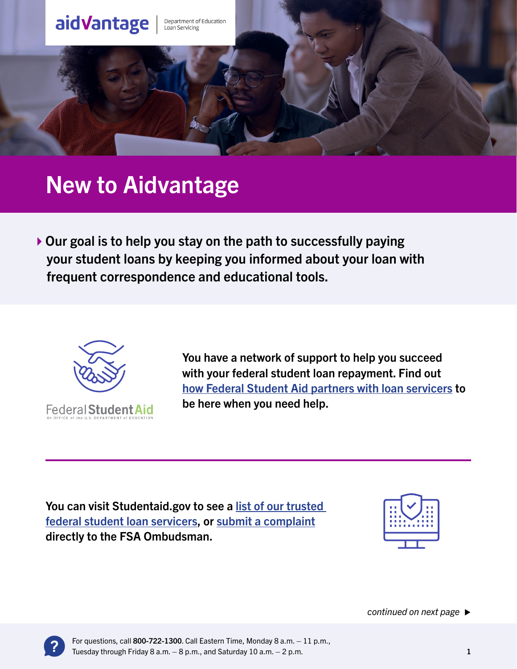

# New to Aidvantage

 $\triangleright$  Our goal is to help you stay on the path to successfully paying your student loans by keeping you informed about your loan with frequent correspondence and educational tools.



You have a network of support to help you succeed with your federal student loan repayment. Find out [how Federal Student Aid partners with loan servicers](https://studentaid.gov/manage-loans/repayment/your-loan-servicer-has-our-approval) to be here when you need help.

You can visit Studentaid.gov to see a [list of our trusted](https://studentaid.gov/manage-loans/repayment/servicers)  [federal student loan servicers,](https://studentaid.gov/manage-loans/repayment/servicers) or [submit a complaint](https://studentaid.gov/feedback-center/) directly to the FSA Ombudsman.



*continued on next page*

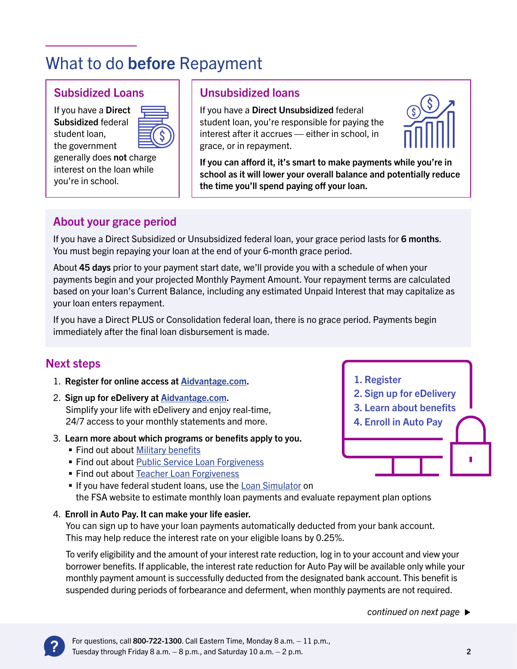## What to do before Repayment

#### Subsidized Loans

If you have a Direct Subsidized federal student loan, the government

generally does not charge interest on the loan while you're in school.

#### Unsubsidized loans

If you have a Direct Unsubsidized federal student loan, you're responsible for paying the interest after it accrues — either in school, in grace, or in repayment.



If you can afford it, it's smart to make payments while you're in school as it will lower your overall balance and potentially reduce the time you'll spend paying off your loan.

#### About your grace period

If you have a Direct Subsidized or Unsubsidized federal loan, your grace period lasts for 6 months. You must begin repaying your loan at the end of your 6-month grace period.

About 45 days prior to your payment start date, we'll provide you with a schedule of when your payments begin and your projected Monthly Payment Amount. Your repayment terms are calculated based on your loan's Current Balance, including any estimated Unpaid Interest that may capitalize as your loan enters repayment.

If you have a Direct PLUS or Consolidation federal loan, there is no grace period. Payments begin immediately after the final loan disbursement is made.

#### Next steps

- 1. Register for online access at A[idvantage.com](http://aidvantage.com).
- 2. Sign up for eDelivery at A[idvantage.com](http://aidvantage.com). Simplify your life with eDelivery and enjoy real-time, 24/7 access to your monthly statements and more.
- 3. Learn more about which programs or benefits apply to you.
	- **Find out about [Military benefits](https://studentaid.gov/sites/default/files/military-student-loan-benefits.pdf)**
	- **Find out about [Public Service Loan Forgiveness](https://studentaid.gov/pslf/)**
	- Find out about [Teacher Loan Forgiveness](https://studentaid.gov/articles/teacher-loan-forgiveness-options/)
	- If you have federal student loans, use the [Loan Simulator](https://studentaid.gov/loan-simulator/) on the FSA website to estimate monthly loan payments and evaluate repayment plan options

#### 4. Enroll in Auto Pay. It can make your life easier.

You can sign up to have your loan payments automatically deducted from your bank account. This may help reduce the interest rate on your eligible loans by 0.25%.

To verify eligibility and the amount of your interest rate reduction, log in to your account and view your borrower benefits. If applicable, the interest rate reduction for Auto Pay will be available only while your monthly payment amount is successfully deducted from the designated bank account. This benefit is suspended during periods of forbearance and deferment, when monthly payments are not required.

*continued on next page*



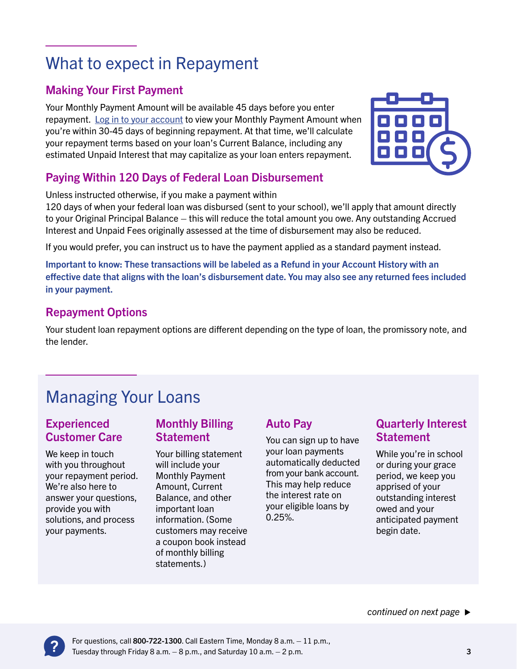## What to expect in Repayment

#### Making Your First Payment

Your Monthly Payment Amount will be available 45 days before you enter repayment. [Log in to your account](http://aidvantage.com) to view your Monthly Payment Amount when you're within 30-45 days of beginning repayment. At that time, we'll calculate your repayment terms based on your loan's Current Balance, including any estimated Unpaid Interest that may capitalize as your loan enters repayment.

### Paying Within 120 Days of Federal Loan Disbursement

Unless instructed otherwise, if you make a payment within

120 days of when your federal loan was disbursed (sent to your school), we'll apply that amount directly to your Original Principal Balance – this will reduce the total amount you owe. Any outstanding Accrued Interest and Unpaid Fees originally assessed at the time of disbursement may also be reduced.

If you would prefer, you can instruct us to have the payment applied as a standard payment instead.

Important to know: These transactions will be labeled as a Refund in your Account History with an effective date that aligns with the loan's disbursement date. You may also see any returned fees included in your payment.

### Repayment Options

Your student loan repayment options are different depending on the type of loan, the promissory note, and the lender.

## Managing Your Loans

#### **Experienced** Customer Care

We keep in touch with you throughout your repayment period. We're also here to answer your questions, provide you with solutions, and process your payments.

#### Monthly Billing **Statement**

Your billing statement will include your Monthly Payment Amount, Current Balance, and other important loan information. (Some customers may receive a coupon book instead of monthly billing statements.)

### Auto Pay

You can sign up to have your loan payments automatically deducted from your bank account. This may help reduce the interest rate on your eligible loans by 0.25%.

### Quarterly Interest **Statement**

While you're in school or during your grace period, we keep you apprised of your outstanding interest owed and your anticipated payment begin date.



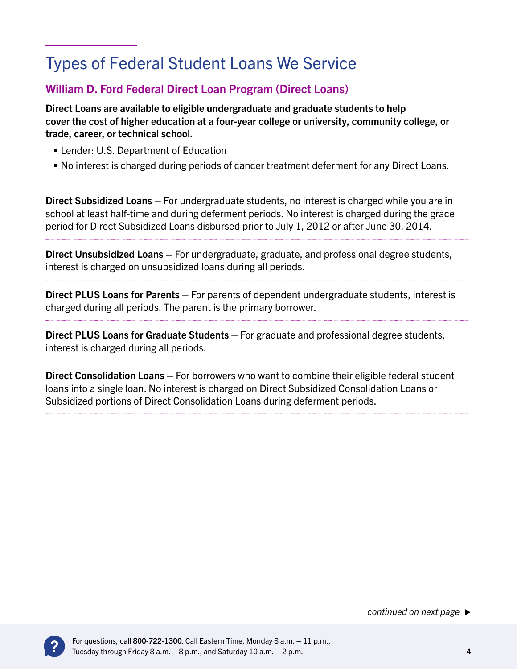## Types of Federal Student Loans We Service

#### William D. Ford Federal Direct Loan Program (Direct Loans)

Direct Loans are available to eligible undergraduate and graduate students to help cover the cost of higher education at a four-year college or university, community college, or trade, career, or technical school.

- **Example 1 Lender: U.S. Department of Education**
- No interest is charged during periods of cancer treatment deferment for any Direct Loans.

Direct Subsidized Loans – For undergraduate students, no interest is charged while you are in school at least half-time and during deferment periods. No interest is charged during the grace period for Direct Subsidized Loans disbursed prior to July 1, 2012 or after June 30, 2014.

Direct Unsubsidized Loans – For undergraduate, graduate, and professional degree students, interest is charged on unsubsidized loans during all periods.

Direct PLUS Loans for Parents – For parents of dependent undergraduate students, interest is charged during all periods. The parent is the primary borrower.

Direct PLUS Loans for Graduate Students – For graduate and professional degree students, interest is charged during all periods.

Direct Consolidation Loans – For borrowers who want to combine their eligible federal student loans into a single loan. No interest is charged on Direct Subsidized Consolidation Loans or Subsidized portions of Direct Consolidation Loans during deferment periods.